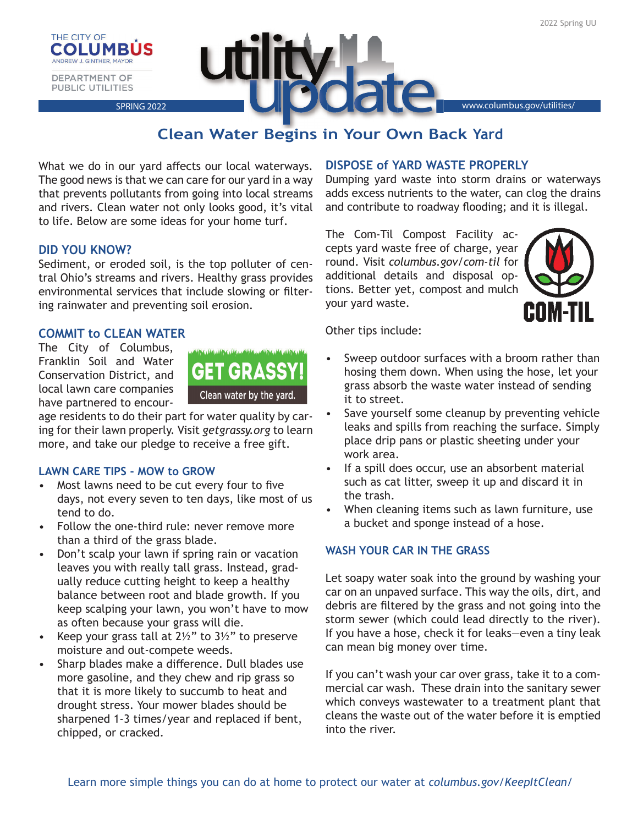



# **Clean Water Begins in Your Own Back Yard**

What we do in our yard affects our local waterways. The good news is that we can care for our yard in a way that prevents pollutants from going into local streams and rivers. Clean water not only looks good, it's vital to life. Below are some ideas for your home turf.

# **DID YOU KNOW?**

Sediment, or eroded soil, is the top polluter of central Ohio's streams and rivers. Healthy grass provides environmental services that include slowing or filtering rainwater and preventing soil erosion.

# **COMMIT to CLEAN WATER**

The City of Columbus, Franklin Soil and Water Conservation District, and local lawn care companies have partnered to encour-



age residents to do their part for water quality by caring for their lawn properly. Visit *getgrassy.org* to learn more, and take our pledge to receive a free gift.

## **LAWN CARE TIPS - MOW to GROW**

- Most lawns need to be cut every four to five days, not every seven to ten days, like most of us tend to do.
- Follow the one-third rule: never remove more than a third of the grass blade.
- Don't scalp your lawn if spring rain or vacation leaves you with really tall grass. Instead, gradually reduce cutting height to keep a healthy balance between root and blade growth. If you keep scalping your lawn, you won't have to mow as often because your grass will die.
- Keep your grass tall at  $2\frac{1}{2}$ " to 3<sup>1</sup>/<sub>2</sub>" to preserve moisture and out-compete weeds.
- Sharp blades make a difference. Dull blades use more gasoline, and they chew and rip grass so that it is more likely to succumb to heat and drought stress. Your mower blades should be sharpened 1-3 times/year and replaced if bent, chipped, or cracked.

# **DISPOSE of YARD WASTE PROPERLY**

Dumping yard waste into storm drains or waterways adds excess nutrients to the water, can clog the drains and contribute to roadway flooding; and it is illegal.

The Com-Til Compost Facility accepts yard waste free of charge, year round. Visit *columbus.gov*/*com-til* for additional details and disposal options. Better yet, compost and mulch your yard waste.



Other tips include:

- Sweep outdoor surfaces with a broom rather than hosing them down. When using the hose, let your grass absorb the waste water instead of sending it to street.
- Save yourself some cleanup by preventing vehicle leaks and spills from reaching the surface. Simply place drip pans or plastic sheeting under your work area.
- If a spill does occur, use an absorbent material such as cat litter, sweep it up and discard it in the trash.
- When cleaning items such as lawn furniture, use a bucket and sponge instead of a hose.

## **WASH YOUR CAR IN THE GRASS**

Let soapy water soak into the ground by washing your car on an unpaved surface. This way the oils, dirt, and debris are filtered by the grass and not going into the storm sewer (which could lead directly to the river). If you have a hose, check it for leaks—even a tiny leak can mean big money over time.

If you can't wash your car over grass, take it to a commercial car wash. These drain into the sanitary sewer which conveys wastewater to a treatment plant that cleans the waste out of the water before it is emptied into the river.